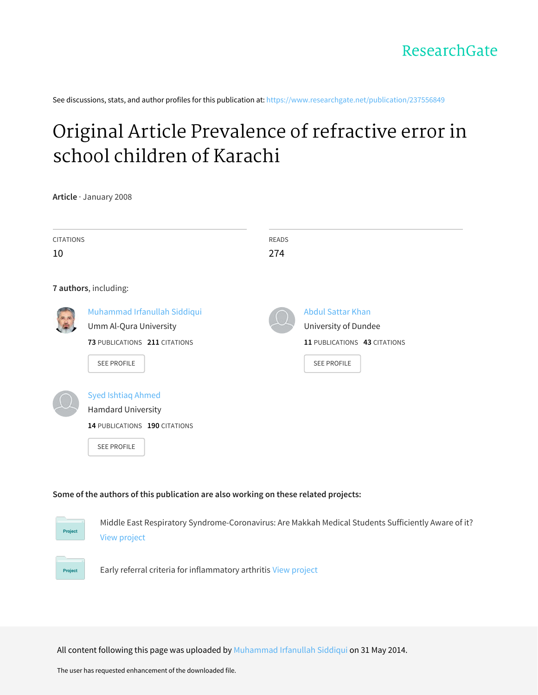See discussions, stats, and author profiles for this publication at: [https://www.researchgate.net/publication/237556849](https://www.researchgate.net/publication/237556849_Original_Article_Prevalence_of_refractive_error_in_school_children_of_Karachi?enrichId=rgreq-d066d806451bfa16ca46d26544d2903f-XXX&enrichSource=Y292ZXJQYWdlOzIzNzU1Njg0OTtBUzoxMDMwNDA5MTI3MjM5OTJAMTQwMTU3ODI3NjkyNA%3D%3D&el=1_x_2&_esc=publicationCoverPdf)

# Original Article [Prevalence](https://www.researchgate.net/publication/237556849_Original_Article_Prevalence_of_refractive_error_in_school_children_of_Karachi?enrichId=rgreq-d066d806451bfa16ca46d26544d2903f-XXX&enrichSource=Y292ZXJQYWdlOzIzNzU1Njg0OTtBUzoxMDMwNDA5MTI3MjM5OTJAMTQwMTU3ODI3NjkyNA%3D%3D&el=1_x_3&_esc=publicationCoverPdf) of refractive error in school children of Karachi

**Article** · January 2008

| <b>CITATIONS</b><br>10 |                               | <b>READS</b><br>274 |                              |  |  |  |
|------------------------|-------------------------------|---------------------|------------------------------|--|--|--|
|                        |                               |                     |                              |  |  |  |
|                        | 7 authors, including:         |                     |                              |  |  |  |
|                        | Muhammad Irfanullah Siddiqui  |                     | <b>Abdul Sattar Khan</b>     |  |  |  |
|                        | Umm Al-Qura University        |                     | University of Dundee         |  |  |  |
|                        | 73 PUBLICATIONS 211 CITATIONS |                     | 11 PUBLICATIONS 43 CITATIONS |  |  |  |
|                        | SEE PROFILE                   |                     | SEE PROFILE                  |  |  |  |
|                        |                               |                     |                              |  |  |  |
|                        | <b>Syed Ishtiaq Ahmed</b>     |                     |                              |  |  |  |
|                        | <b>Hamdard University</b>     |                     |                              |  |  |  |
|                        | 14 PUBLICATIONS 190 CITATIONS |                     |                              |  |  |  |
|                        | SEE PROFILE                   |                     |                              |  |  |  |

#### **Some of the authors of this publication are also working on these related projects:**



Project

Middle East Respiratory Syndrome-Coronavirus: Are Makkah Medical Students Sufficiently Aware of it? View [project](https://www.researchgate.net/project/Middle-East-Respiratory-Syndrome-Coronavirus-Are-Makkah-Medical-Students-Sufficiently-Aware-of-it?enrichId=rgreq-d066d806451bfa16ca46d26544d2903f-XXX&enrichSource=Y292ZXJQYWdlOzIzNzU1Njg0OTtBUzoxMDMwNDA5MTI3MjM5OTJAMTQwMTU3ODI3NjkyNA%3D%3D&el=1_x_9&_esc=publicationCoverPdf)

Early referral criteria for inflammatory arthritis View [project](https://www.researchgate.net/project/Early-referral-criteria-for-inflammatory-arthritis?enrichId=rgreq-d066d806451bfa16ca46d26544d2903f-XXX&enrichSource=Y292ZXJQYWdlOzIzNzU1Njg0OTtBUzoxMDMwNDA5MTI3MjM5OTJAMTQwMTU3ODI3NjkyNA%3D%3D&el=1_x_9&_esc=publicationCoverPdf)

All content following this page was uploaded by [Muhammad](https://www.researchgate.net/profile/Muhammad_Siddiqui56?enrichId=rgreq-d066d806451bfa16ca46d26544d2903f-XXX&enrichSource=Y292ZXJQYWdlOzIzNzU1Njg0OTtBUzoxMDMwNDA5MTI3MjM5OTJAMTQwMTU3ODI3NjkyNA%3D%3D&el=1_x_10&_esc=publicationCoverPdf) Irfanullah Siddiqui on 31 May 2014.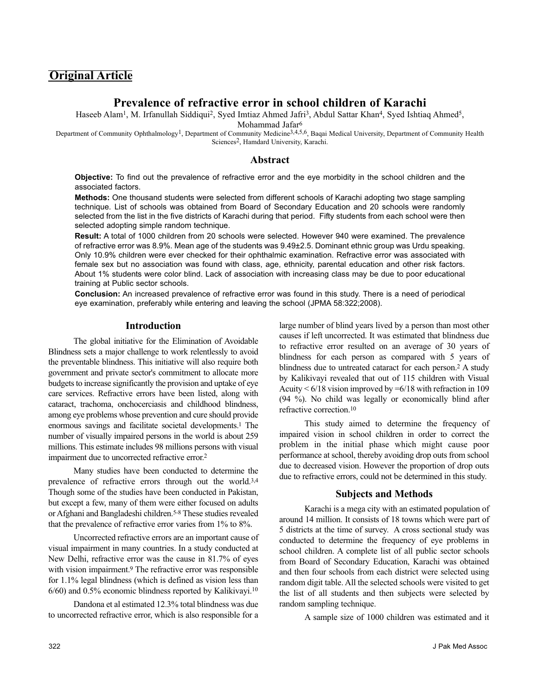# **Original Article**

# **Prevalence of refractive error in school children of Karachi**

Haseeb Alam<sup>1</sup>, M. Irfanullah Siddiqui<sup>2</sup>, Syed Imtiaz Ahmed Jafri<sup>3</sup>, Abdul Sattar Khan<sup>4</sup>, Syed Ishtiaq Ahmed<sup>5</sup>,

Mohammad Jafar6

Department of Community Ophthalmology<sup>1</sup>, Department of Community Medicine<sup>3,4,5,6</sup>, Baqai Medical University, Department of Community Health Sciences2, Hamdard University, Karachi.

#### **Abstract**

**Objective:** To find out the prevalence of refractive error and the eye morbidity in the school children and the associated factors.

**Methods:** One thousand students were selected from different schools of Karachi adopting two stage sampling technique. List of schools was obtained from Board of Secondary Education and 20 schools were randomly selected from the list in the five districts of Karachi during that period. Fifty students from each school were then selected adopting simple random technique.

**Result:** A total of 1000 children from 20 schools were selected. However 940 were examined. The prevalence of refractive error was 8.9%. Mean age of the students was 9.49±2.5. Dominant ethnic group was Urdu speaking. Only 10.9% children were ever checked for their ophthalmic examination. Refractive error was associated with female sex but no association was found with class, age, ethnicity, parental education and other risk factors. About 1% students were color blind. Lack of association with increasing class may be due to poor educational training at Public sector schools.

**Conclusion:** An increased prevalence of refractive error was found in this study. There is a need of periodical eye examination, preferably while entering and leaving the school (JPMA 58:322;2008).

## **Introduction**

The global initiative for the Elimination of Avoidable Blindness sets a major challenge to work relentlessly to avoid the preventable blindness. This initiative will also require both government and private sector's commitment to allocate more budgets to increase significantly the provision and uptake of eye care services. Refractive errors have been listed, along with cataract, trachoma, onchocerciasis and childhood blindness, among eye problems whose prevention and cure should provide enormous savings and facilitate societal developments.1 The number of visually impaired persons in the world is about 259 millions. This estimate includes 98 millions persons with visual impairment due to uncorrected refractive error.2

Many studies have been conducted to determine the prevalence of refractive errors through out the world.3,4 Though some of the studies have been conducted in Pakistan, but except a few, many of them were either focused on adults or Afghani and Bangladeshi children.5-8 These studies revealed that the prevalence of refractive error varies from 1% to 8%.

Uncorrected refractive errors are an important cause of visual impairment in many countries. In a study conducted at New Delhi, refractive error was the cause in 81.7% of eyes with vision impairment.<sup>9</sup> The refractive error was responsible for 1.1% legal blindness (which is defined as vision less than 6/60) and 0.5% economic blindness reported by Kalikivayi.10

Dandona et al estimated 12.3% total blindness was due to uncorrected refractive error, which is also responsible for a large number of blind years lived by a person than most other causes if left uncorrected. It was estimated that blindness due to refractive error resulted on an average of 30 years of blindness for each person as compared with 5 years of blindness due to untreated cataract for each person.2 A study by Kalikivayi revealed that out of 115 children with Visual Acuity  $\leq 6/18$  vision improved by  $\leq 6/18$  with refraction in 109 (94 %). No child was legally or economically blind after refractive correction.10

This study aimed to determine the frequency of impaired vision in school children in order to correct the problem in the initial phase which might cause poor performance at school, thereby avoiding drop outs from school due to decreased vision. However the proportion of drop outs due to refractive errors, could not be determined in this study.

## **Subjects and Methods**

Karachi is a mega city with an estimated population of around 14 million. It consists of 18 towns which were part of 5 districts at the time of survey. A cross sectional study was conducted to determine the frequency of eye problems in school children. A complete list of all public sector schools from Board of Secondary Education, Karachi was obtained and then four schools from each district were selected using random digit table. All the selected schools were visited to get the list of all students and then subjects were selected by random sampling technique.

A sample size of 1000 children was estimated and it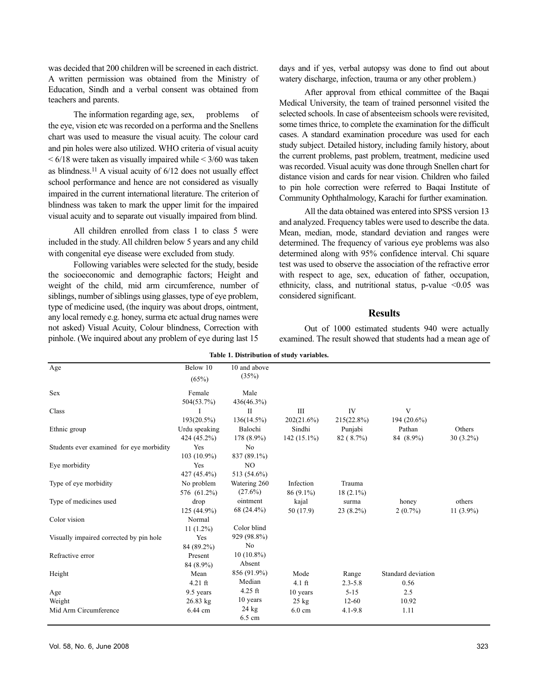was decided that 200 children will be screened in each district. A written permission was obtained from the Ministry of Education, Sindh and a verbal consent was obtained from teachers and parents.

The information regarding age, sex, problems of the eye, vision etc was recorded on a performa and the Snellens chart was used to measure the visual acuity. The colour card and pin holes were also utilized. WHO criteria of visual acuity  $< 6/18$  were taken as visually impaired while  $< 3/60$  was taken as blindness.11 A visual acuity of 6/12 does not usually effect school performance and hence are not considered as visually impaired in the current international literature. The criterion of blindness was taken to mark the upper limit for the impaired visual acuity and to separate out visually impaired from blind.

All children enrolled from class 1 to class 5 were included in the study. All children below 5 years and any child with congenital eye disease were excluded from study.

Following variables were selected for the study, beside the socioeconomic and demographic factors; Height and weight of the child, mid arm circumference, number of siblings, number of siblings using glasses, type of eye problem, type of medicine used, (the inquiry was about drops, ointment, any local remedy e.g. honey, surma etc actual drug names were not asked) Visual Acuity, Colour blindness, Correction with pinhole. (We inquired about any problem of eye during last 15

days and if yes, verbal autopsy was done to find out about watery discharge, infection, trauma or any other problem.)

After approval from ethical committee of the Baqai Medical University, the team of trained personnel visited the selected schools. In case of absenteeism schools were revisited, some times thrice, to complete the examination for the difficult cases. A standard examination procedure was used for each study subject. Detailed history, including family history, about the current problems, past problem, treatment, medicine used was recorded. Visual acuity was done through Snellen chart for distance vision and cards for near vision. Children who failed to pin hole correction were referred to Baqai Institute of Community Ophthalmology, Karachi for further examination.

All the data obtained was entered into SPSS version 13 and analyzed. Frequency tables were used to describe the data. Mean, median, mode, standard deviation and ranges were determined. The frequency of various eye problems was also determined along with 95% confidence interval. Chi square test was used to observe the association of the refractive error with respect to age, sex, education of father, occupation, ethnicity, class, and nutritional status, p-value <0.05 was considered significant.

#### **Results**

Out of 1000 estimated students 940 were actually examined. The result showed that students had a mean age of

| Table 1. Distribution of study variables. |                              |                               |                          |                       |                            |                        |  |  |
|-------------------------------------------|------------------------------|-------------------------------|--------------------------|-----------------------|----------------------------|------------------------|--|--|
| Age                                       | Below 10<br>(65%)            | 10 and above<br>(35%)         |                          |                       |                            |                        |  |  |
| <b>Sex</b>                                | Female<br>504(53.7%)         | Male<br>436(46.3%)            |                          |                       |                            |                        |  |  |
| Class                                     | 193(20.5%)                   | П<br>$136(14.5\%)$            | Ш<br>202(21.6%)          | IV<br>$215(22.8\%)$   | V<br>194 (20.6%)           |                        |  |  |
| Ethnic group                              | Urdu speaking<br>424 (45.2%) | Balochi<br>178 (8.9%)         | Sindhi<br>$142(15.1\%)$  | Punjabi<br>82 (8.7%)  | Pathan<br>84 (8.9%)        | Others<br>$30(3.2\%)$  |  |  |
| Students ever examined for eye morbidity  | Yes<br>$103(10.9\%)$         | N <sub>0</sub><br>837 (89.1%) |                          |                       |                            |                        |  |  |
| Eye morbidity                             | Yes<br>427 (45.4%)           | N <sub>O</sub><br>513 (54.6%) |                          |                       |                            |                        |  |  |
| Type of eye morbidity                     | No problem<br>576 (61.2%)    | Watering 260<br>$(27.6\%)$    | Infection<br>86 (9.1%)   | Trauma<br>$18(2.1\%)$ |                            |                        |  |  |
| Type of medicines used                    | drop<br>125 (44.9%)          | ointment<br>68 (24.4%)        | kajal<br>50 (17.9)       | surma<br>$23(8.2\%)$  | honey<br>$2(0.7\%)$        | others<br>11 $(3.9\%)$ |  |  |
| Color vision                              | Normal<br>$11(1.2\%)$        | Color blind                   |                          |                       |                            |                        |  |  |
| Visually impaired corrected by pin hole   | Yes<br>84 (89.2%)            | 929 (98.8%)<br>No             |                          |                       |                            |                        |  |  |
| Refractive error                          | Present<br>84 (8.9%)         | $10(10.8\%)$<br>Absent        |                          |                       |                            |                        |  |  |
| Height                                    | Mean<br>$4.21$ ft            | 856 (91.9%)<br>Median         | Mode<br>$4.1 \text{ ft}$ | Range<br>$2.3 - 5.8$  | Standard deviation<br>0.56 |                        |  |  |
| Age                                       | 9.5 years                    | $4.25$ ft                     | 10 years                 | $5 - 15$              | 2.5                        |                        |  |  |
| Weight                                    | $26.83$ kg                   | 10 years                      | $25$ kg                  | $12 - 60$             | 10.92                      |                        |  |  |
| Mid Arm Circumference                     | 6.44 cm                      | $24 \text{ kg}$<br>6.5 cm     | $6.0 \text{ cm}$         | $4.1 - 9.8$           | 1.11                       |                        |  |  |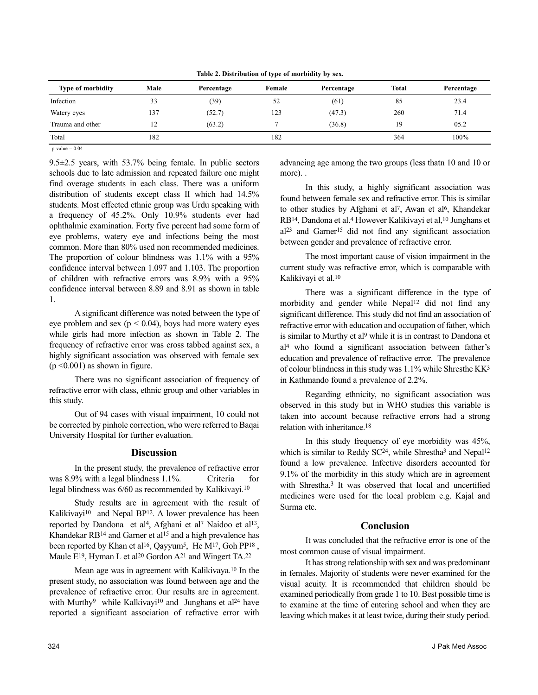**Table 2. Distribution of type of morbidity by sex.**

| <b>Type of morbidity</b> | Male | Percentage | Female | Percentage | <b>Total</b> | Percentage |
|--------------------------|------|------------|--------|------------|--------------|------------|
| Infection                | 33   | (39)       | 52     | (61)       | 85           | 23.4       |
| Watery eyes              | 137  | (52.7)     | 123    | (47.3)     | 260          | 71.4       |
| Trauma and other         | 12   | (63.2)     |        | (36.8)     | 19           | 05.2       |
| Total                    | 182  |            | 182    |            | 364          | 100%       |

 $p-value = 0.04$ 

9.5±2.5 years, with 53.7% being female. In public sectors schools due to late admission and repeated failure one might find overage students in each class. There was a uniform distribution of students except class II which had  $14.5\%$ students. Most effected ethnic group was Urdu speaking with a frequency of 45.2%. Only 10.9% students ever had ophthalmic examination. Forty five percent had some form of eye problems, watery eye and infections being the most common. More than 80% used non recommended medicines. The proportion of colour blindness was 1.1% with a 95% confidence interval between 1.097 and 1.103. The proportion of children with refractive errors was 8.9% with a 95% confidence interval between 8.89 and 8.91 as shown in table 1.

A significant difference was noted between the type of eye problem and sex ( $p < 0.04$ ), boys had more watery eyes while girls had more infection as shown in Table 2. The frequency of refractive error was cross tabbed against sex, a highly significant association was observed with female sex  $(p \le 0.001)$  as shown in figure.

There was no significant association of frequency of refractive error with class, ethnic group and other variables in this study.

Out of 94 cases with visual impairment, 10 could not be corrected by pinhole correction, who were referred to Baqai University Hospital for further evaluation.

#### **Discussion**

In the present study, the prevalence of refractive error was 8.9% with a legal blindness 1.1%. Criteria for legal blindness was 6/60 as recommended by Kalikivayi.10

Study results are in agreement with the result of Kalikivayi<sup>10</sup> and Nepal BP<sup>12</sup>. A lower prevalence has been reported by Dandona et al<sup>4</sup>, Afghani et al<sup>7</sup> Naidoo et al<sup>13</sup>, Khandekar RB<sup>14</sup> and Garner et al<sup>15</sup> and a high prevalence has been reported by Khan et al<sup>16</sup>, Qayyum<sup>5</sup>, He M<sup>17</sup>, Goh PP<sup>18</sup>, Maule E<sup>19</sup>, Hyman L et al<sup>20</sup> Gordon A<sup>21</sup> and Wingert TA.<sup>22</sup>

Mean age was in agreement with Kalikivaya.10 In the present study, no association was found between age and the prevalence of refractive error. Our results are in agreement. with Murthy<sup>9</sup> while Kalkivayi<sup>10</sup> and Junghans et al<sup>24</sup> have reported a significant association of refractive error with advancing age among the two groups (less thatn 10 and 10 or more). .

In this study, a highly significant association was found between female sex and refractive error. This is similar to other studies by Afghani et al<sup>7</sup>, Awan et al<sup>6</sup>, Khandekar RB14, Dandona et al.4 However Kalikivayi et al,10 Junghans et al23 and Garner15 did not find any significant association between gender and prevalence of refractive error.

The most important cause of vision impairment in the current study was refractive error, which is comparable with Kalikivayi et al.10

There was a significant difference in the type of morbidity and gender while Nepal<sup>12</sup> did not find any significant difference. This study did not find an association of refractive error with education and occupation of father, which is similar to Murthy et al<sup>9</sup> while it is in contrast to Dandona et al4 who found a significant association between father's education and prevalence of refractive error. The prevalence of colour blindness in this study was 1.1% while Shresthe KK3 in Kathmando found a prevalence of 2.2%.

Regarding ethnicity, no significant association was observed in this study but in WHO studies this variable is taken into account because refractive errors had a strong relation with inheritance 18

In this study frequency of eye morbidity was 45%, which is similar to Reddy SC<sup>24</sup>, while Shrestha<sup>3</sup> and Nepal<sup>12</sup> found a low prevalence. Infective disorders accounted for 9.1% of the morbidity in this study which are in agreement with Shrestha.3 It was observed that local and uncertified medicines were used for the local problem e.g. Kajal and Surma etc.

## **Conclusion**

It was concluded that the refractive error is one of the most common cause of visual impairment.

It has strong relationship with sex and was predominant in females. Majority of students were never examined for the visual acuity. It is recommended that children should be examined periodically from grade 1 to 10. Best possible time is to examine at the time of entering school and when they are leaving which makes it at least twice, during their study period.